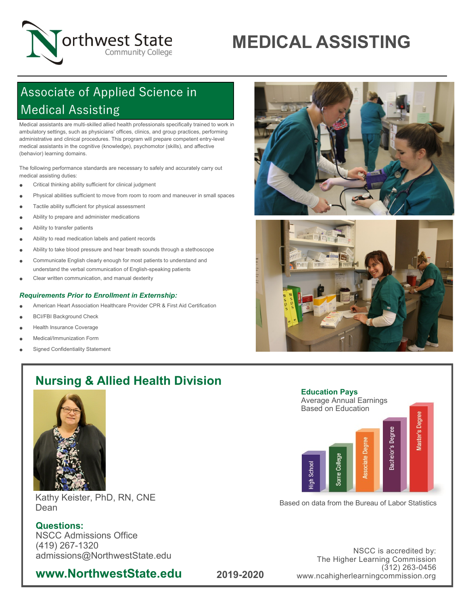

# **MEDICAL ASSISTING**

# Associate of Applied Science in Medical Assisting

Medical assistants are multi-skilled allied health professionals specifically trained to work in ambulatory settings, such as physicians' offices, clinics, and group practices, performing administrative and clinical procedures. This program will prepare competent entry-level medical assistants in the cognitive (knowledge), psychomotor (skills), and affective (behavior) learning domains.

The following performance standards are necessary to safely and accurately carry out medical assisting duties:

- Critical thinking ability sufficient for clinical judgment
- Physical abilities sufficient to move from room to room and maneuver in small spaces
- **•** Tactile ability sufficient for physical assessment
- Ability to prepare and administer medications
- Ability to transfer patients
- Ability to read medication labels and patient records
- Ability to take blood pressure and hear breath sounds through a stethoscope
- Communicate English clearly enough for most patients to understand and understand the verbal communication of English-speaking patients
- Clear written communication, and manual dexterity

#### *Requirements Prior to Enrollment in Externship:*

- American Heart Association Healthcare Provider CPR & First Aid Certification
- BCI/FBI Background Check
- Health Insurance Coverage
- Medical/Immunization Form
- Signed Confidentiality Statement





# **Nursing & Allied Health Division**



Kathy Keister, PhD, RN, CNE Dean

### **Questions:**

NSCC Admissions Office (419) 267-1320 admissions@NorthwestState.edu

## **www.NorthwestState.edu**



Based on data from the Bureau of Labor Statistics

NSCC is accredited by: The Higher Learning Commission (312) 263-0456 www.ncahigherlearningcommission.org

**2019-2020**